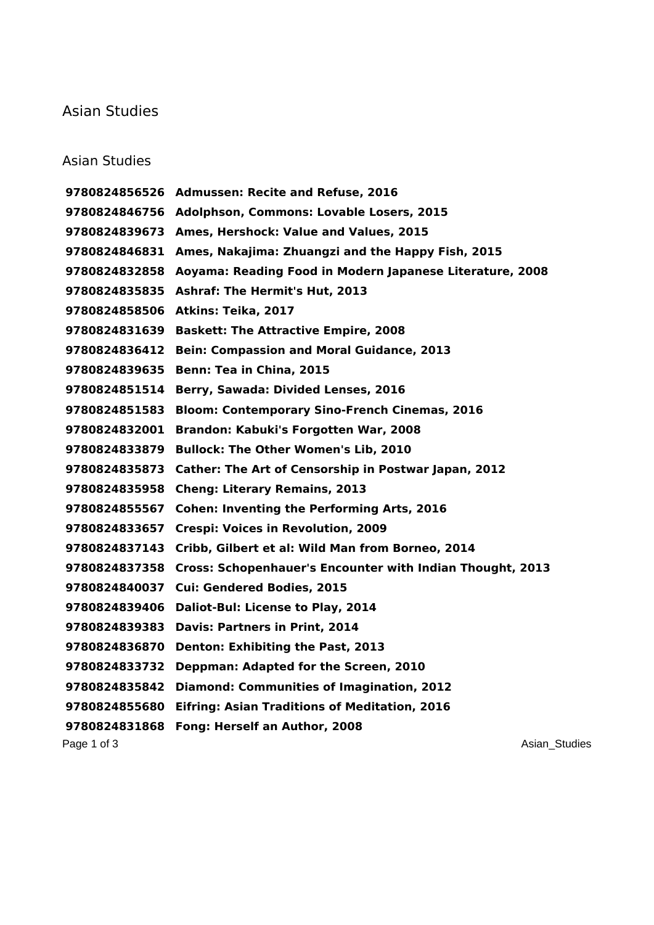## Asian Studies

## Asian Studies

Page 1 of 3 Asian\_Studies **Page 1** of 3 Asian\_Studies **Asian\_Studies Asian\_Studies Admussen: Recite and Refuse, 2016 Adolphson, Commons: Lovable Losers, 2015 Ames, Hershock: Value and Values, 2015 Ames, Nakajima: Zhuangzi and the Happy Fish, 2015 Aoyama: Reading Food in Modern Japanese Literature, 2008 Ashraf: The Hermit's Hut, 2013 Atkins: Teika, 2017 Baskett: The Attractive Empire, 2008 Bein: Compassion and Moral Guidance, 2013 Benn: Tea in China, 2015 Berry, Sawada: Divided Lenses, 2016 Bloom: Contemporary Sino-French Cinemas, 2016 Brandon: Kabuki's Forgotten War, 2008 Bullock: The Other Women's Lib, 2010 Cather: The Art of Censorship in Postwar Japan, 2012 Cheng: Literary Remains, 2013 Cohen: Inventing the Performing Arts, 2016 Crespi: Voices in Revolution, 2009 Cribb, Gilbert et al: Wild Man from Borneo, 2014 Cross: Schopenhauer's Encounter with Indian Thought, 2013 Cui: Gendered Bodies, 2015 Daliot-Bul: License to Play, 2014 Davis: Partners in Print, 2014 Denton: Exhibiting the Past, 2013 Deppman: Adapted for the Screen, 2010 Diamond: Communities of Imagination, 2012 Eifring: Asian Traditions of Meditation, 2016 Fong: Herself an Author, 2008**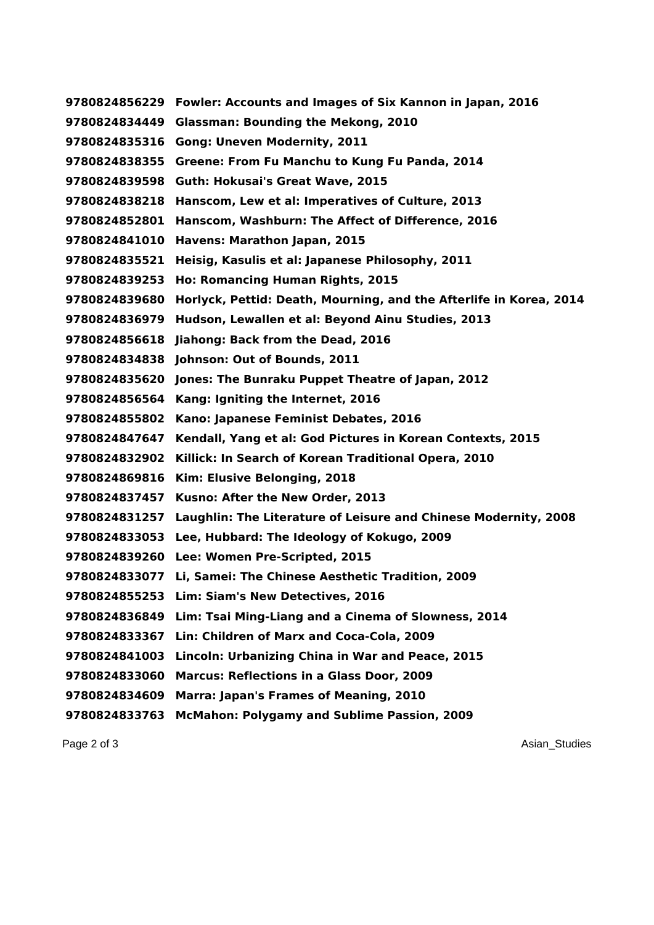**Fowler: Accounts and Images of Six Kannon in Japan, 2016 Glassman: Bounding the Mekong, 2010 Gong: Uneven Modernity, 2011 Greene: From Fu Manchu to Kung Fu Panda, 2014 Guth: Hokusai's Great Wave, 2015 Hanscom, Lew et al: Imperatives of Culture, 2013 Hanscom, Washburn: The Affect of Difference, 2016 Havens: Marathon Japan, 2015 Heisig, Kasulis et al: Japanese Philosophy, 2011 Ho: Romancing Human Rights, 2015 Horlyck, Pettid: Death, Mourning, and the Afterlife in Korea, 2014 Hudson, Lewallen et al: Beyond Ainu Studies, 2013 Jiahong: Back from the Dead, 2016 Johnson: Out of Bounds, 2011 Jones: The Bunraku Puppet Theatre of Japan, 2012 Kang: Igniting the Internet, 2016 Kano: Japanese Feminist Debates, 2016 Kendall, Yang et al: God Pictures in Korean Contexts, 2015 Killick: In Search of Korean Traditional Opera, 2010 Kim: Elusive Belonging, 2018 Kusno: After the New Order, 2013 Laughlin: The Literature of Leisure and Chinese Modernity, 2008 Lee, Hubbard: The Ideology of Kokugo, 2009 Lee: Women Pre-Scripted, 2015 Li, Samei: The Chinese Aesthetic Tradition, 2009 Lim: Siam's New Detectives, 2016 Lim: Tsai Ming-Liang and a Cinema of Slowness, 2014 Lin: Children of Marx and Coca-Cola, 2009 Lincoln: Urbanizing China in War and Peace, 2015 Marcus: Reflections in a Glass Door, 2009 Marra: Japan's Frames of Meaning, 2010 McMahon: Polygamy and Sublime Passion, 2009**

Page 2 of 3 Asian\_Studies **Page 2 of 3** Asian\_Studies **Asian\_Studies Asian\_Studies**